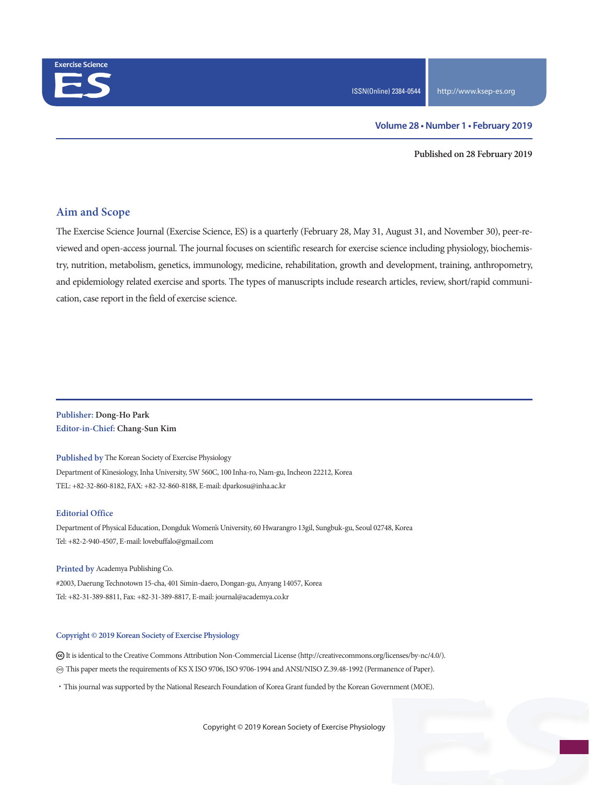

**Published on 28 February 2019**

### **Aim and Scope**

The Exercise Science Journal (Exercise Science, ES) is a quarterly (February 28, May 31, August 31, and November 30), peer-reviewed and open-access journal. The journal focuses on scientific research for exercise science including physiology, biochemistry, nutrition, metabolism, genetics, immunology, medicine, rehabilitation, growth and development, training, anthropometry, and epidemiology related exercise and sports. The types of manuscripts include research articles, review, short/rapid communication, case report in the field of exercise science.

**Publisher: Dong-Ho Park Editor-in-Chief: Chang-Sun Kim**

**Published by** The Korean Society of Exercise Physiology Department of Kinesiology, Inha University, 5W 560C, 100 Inha-ro, Nam-gu, Incheon 22212, Korea TEL: +82-32-860-8182, FAX: +82-32-860-8188, E-mail: dparkosu@inha.ac.kr

#### **Editorial Office**

Department of Physical Education, Dongduk Women's University, 60 Hwarangro 13gil, Sungbuk-gu, Seoul 02748, Korea Tel: +82-2-940-4507, E-mail: lovebuffalo@gmail.com

**Printed by** Academya Publishing Co. #2003, Daerung Technotown 15-cha, 401 Simin-daero, Dongan-gu, Anyang 14057, Korea Tel: +82-31-389-8811, Fax: +82-31-389-8817, E-mail: journal@academya.co.kr

#### **Copyright © 2019 Korean Society of Exercise Physiology**

 It is identical to the Creative Commons Attribution Non-Commercial License (http://creativecommons.org/licenses/by-nc/4.0/). ∞ This paper meets the requirements of KS X ISO 9706, ISO 9706-1994 and ANSI/NISO Z.39.48-1992 (Permanence of Paper).

·This journal was supported by the National Research Foundation of Korea Grant funded by the Korean Government (MOE).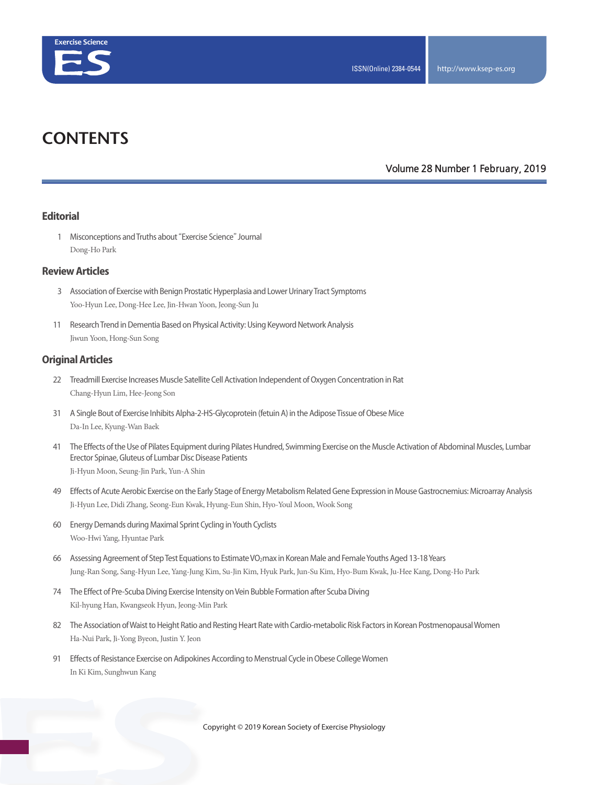

# **CONTENTS**

### **Volume 28 Number 1 February, 2019**

#### **Editorial**

 1 Misconceptions and Truths about "Exercise Science" Journal Dong-Ho Park

#### **Review Articles**

- 3 Association of Exercise with Benign Prostatic Hyperplasia and Lower Urinary Tract Symptoms Yoo-Hyun Lee, Dong-Hee Lee, Jin-Hwan Yoon, Jeong-Sun Ju
- 11 Research Trend in Dementia Based on Physical Activity: Using Keyword Network Analysis Jiwun Yoon, Hong-Sun Song

#### **Original Articles**

- 22 Treadmill Exercise Increases Muscle Satellite Cell Activation Independent of Oxygen Concentration in Rat Chang-Hyun Lim, Hee-Jeong Son
- 31 A Single Bout of Exercise Inhibits Alpha-2-HS-Glycoprotein (fetuin A) in the Adipose Tissue of Obese Mice Da-In Lee, Kyung-Wan Baek
- 41 The Effects of the Use of Pilates Equipment during Pilates Hundred, Swimming Exercise on the Muscle Activation of Abdominal Muscles, Lumbar Erector Spinae, Gluteus of Lumbar Disc Disease Patients Ji-Hyun Moon, Seung-Jin Park, Yun-A Shin
- 49 Effects of Acute Aerobic Exercise on the Early Stage of Energy Metabolism Related Gene Expression in Mouse Gastrocnemius: Microarray Analysis Ji-Hyun Lee, Didi Zhang, Seong-Eun Kwak, Hyung-Eun Shin, Hyo-Youl Moon, Wook Song
- 60 Energy Demands during Maximal Sprint Cycling in Youth Cyclists Woo-Hwi Yang, Hyuntae Park
- 66 Assessing Agreement of Step Test Equations to Estimate VO2max in Korean Male and Female Youths Aged 13-18 Years Jung-Ran Song, Sang-Hyun Lee, Yang-Jung Kim, Su-Jin Kim, Hyuk Park, Jun-Su Kim, Hyo-Bum Kwak, Ju-Hee Kang, Dong-Ho Park
- 74 The Effect of Pre-Scuba Diving Exercise Intensity on Vein Bubble Formation after Scuba Diving Kil-hyung Han, Kwangseok Hyun, Jeong-Min Park
- 82 The Association of Waist to Height Ratio and Resting Heart Rate with Cardio-metabolic Risk Factors in Korean Postmenopausal Women Ha-Nui Park, Ji-Yong Byeon, Justin Y. Jeon
- 91 Effects of Resistance Exercise on Adipokines According to Menstrual Cycle in Obese College Women In Ki Kim, Sunghwun Kang